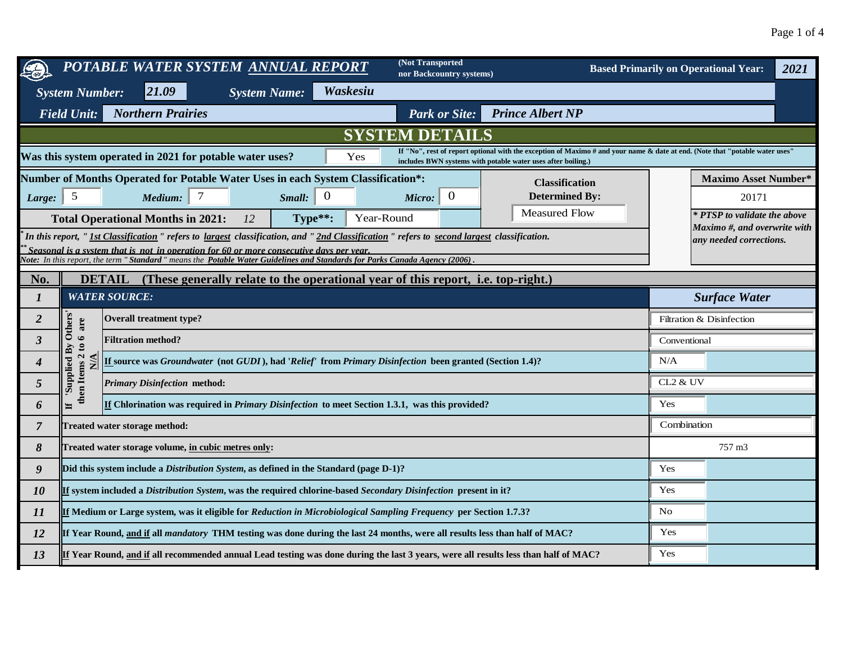| 21.09<br>Waskesiu<br><b>System Number:</b><br><b>System Name:</b><br><b>Field Unit:</b><br><b>Northern Prairies</b><br><b>Park or Site:</b><br><b>Prince Albert NP</b><br><b>SYSTEM DETAIL</b><br>If "No", rest of report optional with the exception of Maximo # and your name & date at end. (Note that "potable water uses"<br>Was this system operated in 2021 for potable water uses?<br>Yes<br>includes BWN systems with potable water uses after boiling.)<br>Number of Months Operated for Potable Water Uses in each System Classification*:<br><b>Classification</b><br>$\mathbf{0}$<br>7<br>$\theta$<br><b>Determined By:</b><br>$\overline{5}$<br>Medium:<br>Small:<br>Micro:<br>Large:<br><b>Measured Flow</b><br>Type**:<br>Year-Round<br><b>Total Operational Months in 2021:</b><br>12<br>In this report, "1st Classification " refers to largest classification, and "2nd Classification " refers to second largest classification.<br>Seasonal is a system that is not in operation for 60 or more consecutive days per year.<br>Vote: In this report, the term "Standard " means the Potable Water Guidelines and Standards for Parks Canada Agency (2006)<br>No.<br><b>DETAIL</b><br>(These generally relate to the operational year of this report, i.e. top-right.)<br><b>WATER SOURCE:</b><br>$\bm{l}$<br>Supplied By Others<br>$\overline{2}$<br><b>Overall treatment type?</b><br>are<br>$\bullet$<br>$\mathfrak{z}$<br><b>Filtration method?</b><br>$\mathbf{c}$<br>then Items 2<br>If source was Groundwater (not GUDI), had 'Relief' from Primary Disinfection been granted (Section 1.4)?<br>N/A<br>$\boldsymbol{4}$<br>$\sqrt{5}$<br>CL2 & UV<br><b>Primary Disinfection method:</b> | <b>Maximo Asset Number*</b><br>20171<br>PTSP to validate the above<br>Maximo #, and overwrite with<br>any needed corrections. |  |  |  |  |  |
|--------------------------------------------------------------------------------------------------------------------------------------------------------------------------------------------------------------------------------------------------------------------------------------------------------------------------------------------------------------------------------------------------------------------------------------------------------------------------------------------------------------------------------------------------------------------------------------------------------------------------------------------------------------------------------------------------------------------------------------------------------------------------------------------------------------------------------------------------------------------------------------------------------------------------------------------------------------------------------------------------------------------------------------------------------------------------------------------------------------------------------------------------------------------------------------------------------------------------------------------------------------------------------------------------------------------------------------------------------------------------------------------------------------------------------------------------------------------------------------------------------------------------------------------------------------------------------------------------------------------------------------------------------------------------------------------------------------------|-------------------------------------------------------------------------------------------------------------------------------|--|--|--|--|--|
|                                                                                                                                                                                                                                                                                                                                                                                                                                                                                                                                                                                                                                                                                                                                                                                                                                                                                                                                                                                                                                                                                                                                                                                                                                                                                                                                                                                                                                                                                                                                                                                                                                                                                                                    |                                                                                                                               |  |  |  |  |  |
|                                                                                                                                                                                                                                                                                                                                                                                                                                                                                                                                                                                                                                                                                                                                                                                                                                                                                                                                                                                                                                                                                                                                                                                                                                                                                                                                                                                                                                                                                                                                                                                                                                                                                                                    |                                                                                                                               |  |  |  |  |  |
|                                                                                                                                                                                                                                                                                                                                                                                                                                                                                                                                                                                                                                                                                                                                                                                                                                                                                                                                                                                                                                                                                                                                                                                                                                                                                                                                                                                                                                                                                                                                                                                                                                                                                                                    |                                                                                                                               |  |  |  |  |  |
|                                                                                                                                                                                                                                                                                                                                                                                                                                                                                                                                                                                                                                                                                                                                                                                                                                                                                                                                                                                                                                                                                                                                                                                                                                                                                                                                                                                                                                                                                                                                                                                                                                                                                                                    |                                                                                                                               |  |  |  |  |  |
|                                                                                                                                                                                                                                                                                                                                                                                                                                                                                                                                                                                                                                                                                                                                                                                                                                                                                                                                                                                                                                                                                                                                                                                                                                                                                                                                                                                                                                                                                                                                                                                                                                                                                                                    |                                                                                                                               |  |  |  |  |  |
|                                                                                                                                                                                                                                                                                                                                                                                                                                                                                                                                                                                                                                                                                                                                                                                                                                                                                                                                                                                                                                                                                                                                                                                                                                                                                                                                                                                                                                                                                                                                                                                                                                                                                                                    |                                                                                                                               |  |  |  |  |  |
|                                                                                                                                                                                                                                                                                                                                                                                                                                                                                                                                                                                                                                                                                                                                                                                                                                                                                                                                                                                                                                                                                                                                                                                                                                                                                                                                                                                                                                                                                                                                                                                                                                                                                                                    |                                                                                                                               |  |  |  |  |  |
|                                                                                                                                                                                                                                                                                                                                                                                                                                                                                                                                                                                                                                                                                                                                                                                                                                                                                                                                                                                                                                                                                                                                                                                                                                                                                                                                                                                                                                                                                                                                                                                                                                                                                                                    |                                                                                                                               |  |  |  |  |  |
|                                                                                                                                                                                                                                                                                                                                                                                                                                                                                                                                                                                                                                                                                                                                                                                                                                                                                                                                                                                                                                                                                                                                                                                                                                                                                                                                                                                                                                                                                                                                                                                                                                                                                                                    | <b>Surface Water</b>                                                                                                          |  |  |  |  |  |
|                                                                                                                                                                                                                                                                                                                                                                                                                                                                                                                                                                                                                                                                                                                                                                                                                                                                                                                                                                                                                                                                                                                                                                                                                                                                                                                                                                                                                                                                                                                                                                                                                                                                                                                    | Filtration & Disinfection                                                                                                     |  |  |  |  |  |
|                                                                                                                                                                                                                                                                                                                                                                                                                                                                                                                                                                                                                                                                                                                                                                                                                                                                                                                                                                                                                                                                                                                                                                                                                                                                                                                                                                                                                                                                                                                                                                                                                                                                                                                    | Conventional                                                                                                                  |  |  |  |  |  |
|                                                                                                                                                                                                                                                                                                                                                                                                                                                                                                                                                                                                                                                                                                                                                                                                                                                                                                                                                                                                                                                                                                                                                                                                                                                                                                                                                                                                                                                                                                                                                                                                                                                                                                                    |                                                                                                                               |  |  |  |  |  |
|                                                                                                                                                                                                                                                                                                                                                                                                                                                                                                                                                                                                                                                                                                                                                                                                                                                                                                                                                                                                                                                                                                                                                                                                                                                                                                                                                                                                                                                                                                                                                                                                                                                                                                                    |                                                                                                                               |  |  |  |  |  |
| <b>If Chlorination was required in Primary Disinfection to meet Section 1.3.1, was this provided?</b><br>Yes<br>6<br>H                                                                                                                                                                                                                                                                                                                                                                                                                                                                                                                                                                                                                                                                                                                                                                                                                                                                                                                                                                                                                                                                                                                                                                                                                                                                                                                                                                                                                                                                                                                                                                                             |                                                                                                                               |  |  |  |  |  |
| $\overline{7}$<br>Treated water storage method:                                                                                                                                                                                                                                                                                                                                                                                                                                                                                                                                                                                                                                                                                                                                                                                                                                                                                                                                                                                                                                                                                                                                                                                                                                                                                                                                                                                                                                                                                                                                                                                                                                                                    | Combination                                                                                                                   |  |  |  |  |  |
| 8<br>Treated water storage volume, in cubic metres only:                                                                                                                                                                                                                                                                                                                                                                                                                                                                                                                                                                                                                                                                                                                                                                                                                                                                                                                                                                                                                                                                                                                                                                                                                                                                                                                                                                                                                                                                                                                                                                                                                                                           | 757 m3                                                                                                                        |  |  |  |  |  |
| 9<br>Yes<br>Did this system include a <i>Distribution System</i> , as defined in the Standard (page D-1)?                                                                                                                                                                                                                                                                                                                                                                                                                                                                                                                                                                                                                                                                                                                                                                                                                                                                                                                                                                                                                                                                                                                                                                                                                                                                                                                                                                                                                                                                                                                                                                                                          |                                                                                                                               |  |  |  |  |  |
| If system included a Distribution System, was the required chlorine-based Secondary Disinfection present in it?<br>10<br>Yes                                                                                                                                                                                                                                                                                                                                                                                                                                                                                                                                                                                                                                                                                                                                                                                                                                                                                                                                                                                                                                                                                                                                                                                                                                                                                                                                                                                                                                                                                                                                                                                       |                                                                                                                               |  |  |  |  |  |
| If Medium or Large system, was it eligible for Reduction in Microbiological Sampling Frequency per Section 1.7.3?<br>No                                                                                                                                                                                                                                                                                                                                                                                                                                                                                                                                                                                                                                                                                                                                                                                                                                                                                                                                                                                                                                                                                                                                                                                                                                                                                                                                                                                                                                                                                                                                                                                            |                                                                                                                               |  |  |  |  |  |
| Yes<br>If Year Round, and if all mandatory THM testing was done during the last 24 months, were all results less than half of MAC?<br>12                                                                                                                                                                                                                                                                                                                                                                                                                                                                                                                                                                                                                                                                                                                                                                                                                                                                                                                                                                                                                                                                                                                                                                                                                                                                                                                                                                                                                                                                                                                                                                           |                                                                                                                               |  |  |  |  |  |
| Yes<br>If Year Round, and if all recommended annual Lead testing was done during the last 3 years, were all results less than half of MAC?<br>13                                                                                                                                                                                                                                                                                                                                                                                                                                                                                                                                                                                                                                                                                                                                                                                                                                                                                                                                                                                                                                                                                                                                                                                                                                                                                                                                                                                                                                                                                                                                                                   |                                                                                                                               |  |  |  |  |  |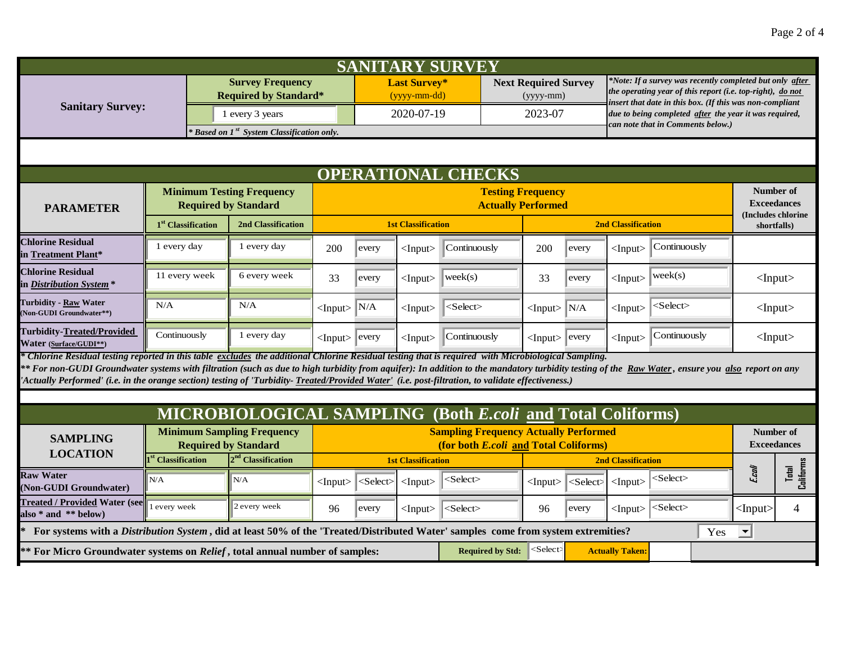| <b>SANITARY SURVEY</b>                                                                                                                                                                                                                                                                                                                                                                                                                                                                                         |                                                                  |                                                                                              |                                                       |                                                                                                      |                                     |                   |              |                                            |                   |                                                                                                                                                                                    |                                                        |                           |                                                       |  |
|----------------------------------------------------------------------------------------------------------------------------------------------------------------------------------------------------------------------------------------------------------------------------------------------------------------------------------------------------------------------------------------------------------------------------------------------------------------------------------------------------------------|------------------------------------------------------------------|----------------------------------------------------------------------------------------------|-------------------------------------------------------|------------------------------------------------------------------------------------------------------|-------------------------------------|-------------------|--------------|--------------------------------------------|-------------------|------------------------------------------------------------------------------------------------------------------------------------------------------------------------------------|--------------------------------------------------------|---------------------------|-------------------------------------------------------|--|
|                                                                                                                                                                                                                                                                                                                                                                                                                                                                                                                |                                                                  | <b>Survey Frequency</b><br><b>Required by Standard*</b>                                      |                                                       |                                                                                                      | <b>Last Survey*</b><br>(yyyy-mm-dd) |                   |              | <b>Next Required Survey</b><br>$(yyyy-mm)$ |                   | *Note: If a survey was recently completed but only after<br>the operating year of this report (i.e. top-right), do not<br>insert that date in this box. (If this was non-compliant |                                                        |                           |                                                       |  |
| <b>Sanitary Survey:</b>                                                                                                                                                                                                                                                                                                                                                                                                                                                                                        |                                                                  | 1 every 3 years                                                                              |                                                       |                                                                                                      | 2020-07-19                          |                   | 2023-07      |                                            |                   |                                                                                                                                                                                    | due to being completed after the year it was required, |                           |                                                       |  |
| * Based on 1 <sup>st</sup> System Classification only.                                                                                                                                                                                                                                                                                                                                                                                                                                                         |                                                                  |                                                                                              |                                                       | can note that in Comments below.)                                                                    |                                     |                   |              |                                            |                   |                                                                                                                                                                                    |                                                        |                           |                                                       |  |
|                                                                                                                                                                                                                                                                                                                                                                                                                                                                                                                |                                                                  |                                                                                              |                                                       |                                                                                                      |                                     |                   |              |                                            |                   |                                                                                                                                                                                    |                                                        |                           |                                                       |  |
| <b>OPERATIONAL CHECKS</b>                                                                                                                                                                                                                                                                                                                                                                                                                                                                                      |                                                                  |                                                                                              |                                                       |                                                                                                      |                                     |                   |              |                                            |                   |                                                                                                                                                                                    |                                                        |                           |                                                       |  |
| <b>PARAMETER</b>                                                                                                                                                                                                                                                                                                                                                                                                                                                                                               |                                                                  | <b>Minimum Testing Frequency</b><br><b>Required by Standard</b>                              | <b>Testing Frequency</b><br><b>Actually Performed</b> |                                                                                                      |                                     |                   |              |                                            |                   |                                                                                                                                                                                    |                                                        |                           | Number of<br><b>Exceedances</b><br>(Includes chlorine |  |
|                                                                                                                                                                                                                                                                                                                                                                                                                                                                                                                | 1 <sup>st</sup> Classification                                   | <b>2nd Classification</b>                                                                    |                                                       | <b>1st Classification</b>                                                                            | <b>2nd Classification</b>           |                   |              |                                            |                   |                                                                                                                                                                                    | shortfalls)                                            |                           |                                                       |  |
| <b>Chlorine Residual</b><br>in Treatment Plant*                                                                                                                                                                                                                                                                                                                                                                                                                                                                | 1 every day                                                      | 1 every day                                                                                  | 200                                                   | every                                                                                                | $\langle$ Input $\rangle$           | Continuously      |              | 200                                        | every             | $\langle$ Input $\rangle$                                                                                                                                                          | Continuously                                           |                           |                                                       |  |
| <b>Chlorine Residual</b><br>in Distribution System *                                                                                                                                                                                                                                                                                                                                                                                                                                                           | 11 every week                                                    | 6 every week                                                                                 | 33                                                    | every                                                                                                | $<$ Input $>$                       | week(s)           |              | 33                                         | every             | $<$ Input $>$                                                                                                                                                                      | week(s)                                                |                           | $<$ Input $>$                                         |  |
| <b>Turbidity - Raw Water</b><br>Non-GUDI Groundwater**)                                                                                                                                                                                                                                                                                                                                                                                                                                                        | N/A                                                              | N/A                                                                                          | $<$ Input $>$                                         | N/A                                                                                                  | $\langle$ Input $\rangle$           | $<$ Select $>$    |              | $\langle$ Input $\rangle$                  | N/A               | $<$ Input $>$                                                                                                                                                                      | $<$ Select $>$                                         |                           | $<$ Input $>$                                         |  |
| Turbidity-Treated/Provided<br>Water (Surface/GUDI**)                                                                                                                                                                                                                                                                                                                                                                                                                                                           | Continuously                                                     | 1 every day                                                                                  |                                                       | Continuously<br>$\langle$ Input $\rangle$ every<br>$<$ Input $>$<br>$\langle$ Input $\rangle$  every |                                     | $<$ Input $>$     | Continuously |                                            | $<$ Input $>$     |                                                                                                                                                                                    |                                                        |                           |                                                       |  |
| * Chlorine Residual testing reported in this table excludes the additional Chlorine Residual testing that is required with Microbiological Sampling.<br>** For non-GUDI Groundwater systems with filtration (such as due to high turbidity from aquifer): In addition to the mandatory turbidity testing of the Raw Water, ensure you also report on any<br>'Actually Performed' (i.e. in the orange section) testing of 'Turbidity-Treated/Provided Water' (i.e. post-filtration, to validate effectiveness.) |                                                                  |                                                                                              |                                                       |                                                                                                      |                                     |                   |              |                                            |                   |                                                                                                                                                                                    |                                                        |                           |                                                       |  |
|                                                                                                                                                                                                                                                                                                                                                                                                                                                                                                                |                                                                  |                                                                                              |                                                       |                                                                                                      |                                     |                   |              |                                            |                   |                                                                                                                                                                                    |                                                        |                           |                                                       |  |
| <b>MICROBIOLOGICAL SAMPLING (Both E.coli and Total Coliforms)</b>                                                                                                                                                                                                                                                                                                                                                                                                                                              |                                                                  |                                                                                              |                                                       |                                                                                                      |                                     |                   |              |                                            |                   |                                                                                                                                                                                    |                                                        |                           |                                                       |  |
| <b>SAMPLING</b>                                                                                                                                                                                                                                                                                                                                                                                                                                                                                                | <b>Minimum Sampling Frequency</b><br><b>Required by Standard</b> | <b>Sampling Frequency Actually Performed</b><br>(for both <i>E.coli</i> and Total Coliforms) |                                                       |                                                                                                      |                                     |                   |              |                                            |                   |                                                                                                                                                                                    | Number of<br><b>Exceedances</b>                        |                           |                                                       |  |
| <b>LOCATION</b>                                                                                                                                                                                                                                                                                                                                                                                                                                                                                                | 1 <sup>st</sup> Classification                                   | $2nd$ Classification                                                                         | <b>1st Classification</b>                             |                                                                                                      |                                     |                   |              |                                            |                   | <b>2nd Classification</b>                                                                                                                                                          |                                                        |                           |                                                       |  |
| <b>Raw Water</b><br><b>Non-GUDI Groundwater)</b>                                                                                                                                                                                                                                                                                                                                                                                                                                                               | N/A                                                              | N/A                                                                                          | $<$ Input $>$                                         | <select></select>                                                                                    | $<$ Input $>$                       | <select></select> |              | $<$ Input $>$                              | <select></select> | $<$ Input $>$                                                                                                                                                                      | $<$ Select $>$                                         | Ecali                     | Coliforms<br>Total                                    |  |
| <b>Treated / Provided Water (see</b><br>also * and ** below)                                                                                                                                                                                                                                                                                                                                                                                                                                                   | every week                                                       | 2 every week                                                                                 | 96                                                    | every                                                                                                | $\langle$ Input $\rangle$           | <select></select> |              | 96                                         | every             | $\langle$ Input $\rangle$                                                                                                                                                          | <select></select>                                      | $\langle$ Input $\rangle$ | 4                                                     |  |
| For systems with a Distribution System, did at least 50% of the 'Treated/Distributed Water' samples come from system extremities?<br>$\blacktriangledown$<br>Yes                                                                                                                                                                                                                                                                                                                                               |                                                                  |                                                                                              |                                                       |                                                                                                      |                                     |                   |              |                                            |                   |                                                                                                                                                                                    |                                                        |                           |                                                       |  |
| <select><br/>** For Micro Groundwater systems on Relief, total annual number of samples:<br/><b>Required by Std:</b><br/><b>Actually Taken:</b></select>                                                                                                                                                                                                                                                                                                                                                       |                                                                  |                                                                                              |                                                       |                                                                                                      |                                     |                   |              |                                            |                   |                                                                                                                                                                                    |                                                        |                           |                                                       |  |
|                                                                                                                                                                                                                                                                                                                                                                                                                                                                                                                |                                                                  |                                                                                              |                                                       |                                                                                                      |                                     |                   |              |                                            |                   |                                                                                                                                                                                    |                                                        |                           |                                                       |  |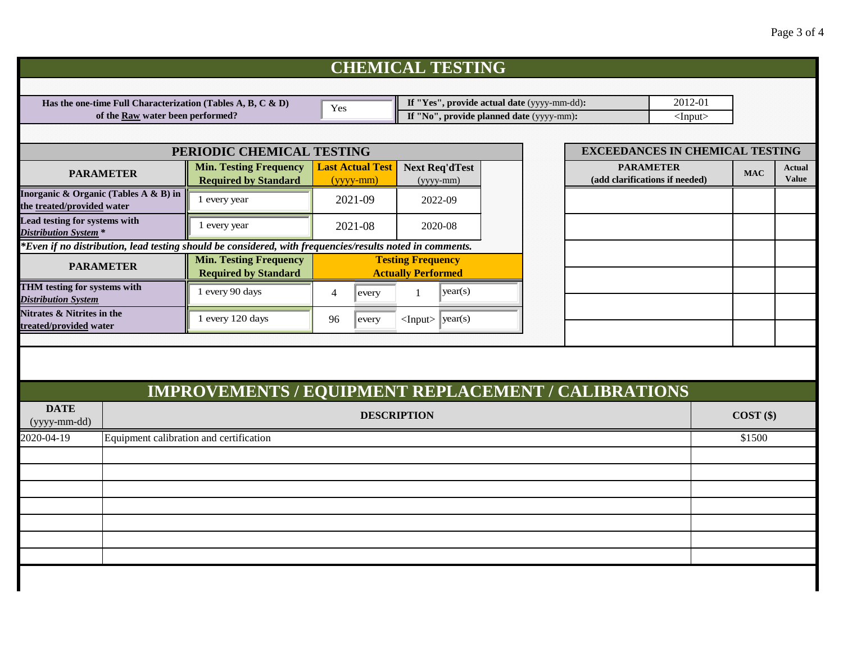|                                                                                                         |                                                              |                                          | <b>CHEMICAL TESTING</b>                               |         |                                                    |  |            |                               |  |  |
|---------------------------------------------------------------------------------------------------------|--------------------------------------------------------------|------------------------------------------|-------------------------------------------------------|---------|----------------------------------------------------|--|------------|-------------------------------|--|--|
|                                                                                                         |                                                              |                                          |                                                       |         |                                                    |  |            |                               |  |  |
| Has the one-time Full Characterization (Tables A, B, C & D)<br>Yes                                      |                                                              |                                          | If "Yes", provide actual date (yyyy-mm-dd):           | 2012-01 |                                                    |  |            |                               |  |  |
| of the Raw water been performed?                                                                        |                                                              | If "No", provide planned date (yyyy-mm): | $<$ Input $>$                                         |         |                                                    |  |            |                               |  |  |
|                                                                                                         |                                                              |                                          |                                                       |         |                                                    |  |            |                               |  |  |
| PERIODIC CHEMICAL TESTING                                                                               |                                                              |                                          | <b>EXCEEDANCES IN CHEMICAL TESTING</b>                |         |                                                    |  |            |                               |  |  |
| <b>PARAMETER</b>                                                                                        | <b>Min. Testing Frequency</b><br><b>Required by Standard</b> | <b>Last Actual Test</b><br>$(yyyy-mm)$   | <b>Next Req'dTest</b><br>$(yyyy-mm)$                  |         | <b>PARAMETER</b><br>(add clarifications if needed) |  | <b>MAC</b> | <b>Actual</b><br><b>Value</b> |  |  |
| Inorganic & Organic (Tables A & B) in<br>the treated/provided water                                     | 1 every year                                                 | 2021-09                                  | 2022-09                                               |         |                                                    |  |            |                               |  |  |
| Lead testing for systems with<br>Distribution System*                                                   | 1 every year                                                 |                                          | 2020-08                                               |         |                                                    |  |            |                               |  |  |
| Even if no distribution, lead testing should be considered, with frequencies/results noted in comments. |                                                              |                                          |                                                       |         |                                                    |  |            |                               |  |  |
| <b>PARAMETER</b>                                                                                        | <b>Min. Testing Frequency</b><br><b>Required by Standard</b> |                                          | <b>Testing Frequency</b><br><b>Actually Performed</b> |         |                                                    |  |            |                               |  |  |
| <b>THM</b> testing for systems with<br><b>Distribution System</b>                                       | 1 every 90 days                                              | $\overline{4}$<br>every                  | year(s)<br>$\mathbf{1}$                               |         |                                                    |  |            |                               |  |  |
| Nitrates & Nitrites in the<br>reated/provided water                                                     | 96<br>every                                                  | $\vert$ year(s)<br>$<$ Input $>$         |                                                       |         |                                                    |  |            |                               |  |  |
|                                                                                                         |                                                              |                                          |                                                       |         |                                                    |  |            |                               |  |  |
|                                                                                                         | <b>IMPROVEMENTS / EQUIPMENT REPLACEMENT / CALIBRATIONS</b>   |                                          |                                                       |         |                                                    |  |            |                               |  |  |
| <b>DATE</b>                                                                                             |                                                              |                                          |                                                       |         |                                                    |  |            |                               |  |  |
| (yyyy-mm-dd)                                                                                            | <b>DESCRIPTION</b>                                           |                                          |                                                       |         |                                                    |  |            | $COST($ \$)                   |  |  |
| 2020-04-19                                                                                              | Equipment calibration and certification                      |                                          |                                                       |         |                                                    |  |            | \$1500                        |  |  |
|                                                                                                         |                                                              |                                          |                                                       |         |                                                    |  |            |                               |  |  |
|                                                                                                         |                                                              |                                          |                                                       |         |                                                    |  |            |                               |  |  |
|                                                                                                         |                                                              |                                          |                                                       |         |                                                    |  |            |                               |  |  |
|                                                                                                         |                                                              |                                          |                                                       |         |                                                    |  |            |                               |  |  |
|                                                                                                         |                                                              |                                          |                                                       |         |                                                    |  |            |                               |  |  |
|                                                                                                         |                                                              |                                          |                                                       |         |                                                    |  |            |                               |  |  |
|                                                                                                         |                                                              |                                          |                                                       |         |                                                    |  |            |                               |  |  |

Page 3 of 4